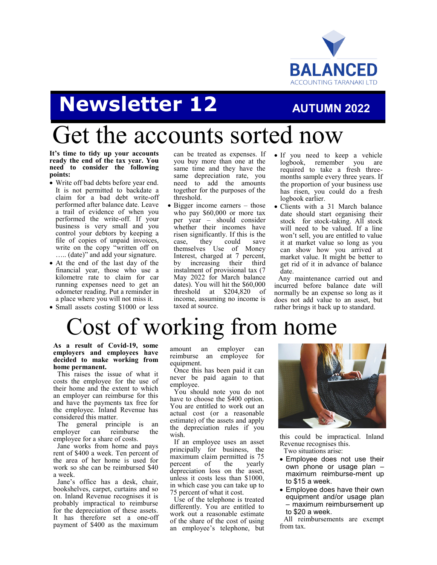

## **Newsletter 12 AUTUMN 2022**

## Get the accounts sorted now

**It's time to tidy up your accounts ready the end of the tax year. You need to consider the following points:**

- Write off bad debts before year end. It is not permitted to backdate a claim for a bad debt write-off performed after balance date. Leave a trail of evidence of when you performed the write-off. If your business is very small and you control your debtors by keeping a file of copies of unpaid invoices, write on the copy "written off on ….. (date)" and add your signature.
- At the end of the last day of the financial year, those who use a kilometre rate to claim for car running expenses need to get an odometer reading. Put a reminder in a place where you will not miss it.
- Small assets costing \$1000 or less

can be treated as expenses. If you buy more than one at the same time and they have the same depreciation rate, you need to add the amounts together for the purposes of the threshold.

- Bigger income earners those who pay \$60,000 or more tax per year – should consider whether their incomes have risen significantly. If this is the case, they could save themselves Use of Money Interest, charged at 7 percent, by increasing their third instalment of provisional tax (7 May 2022 for March balance dates). You will hit the \$60,000 threshold at \$204,820 of income, assuming no income is taxed at source.
- If you need to keep a vehicle logbook, remember you are required to take a fresh threemonths sample every three years. If the proportion of your business use has risen, you could do a fresh logbook earlier.
- Clients with a 31 March balance date should start organising their stock for stock-taking. All stock will need to be valued. If a line won't sell, you are entitled to value it at market value so long as you can show how you arrived at market value. It might be better to get rid of it in advance of balance date.

Any maintenance carried out and incurred before balance date will normally be an expense so long as it does not add value to an asset, but rather brings it back up to standard.

# Cost of working from home

**As a result of Covid-19, some employers and employees have decided to make working from home permanent.** 

This raises the issue of what it costs the employee for the use of their home and the extent to which an employer can reimburse for this and have the payments tax free for the employee. Inland Revenue has considered this matter.

The general principle is an<br>mployer can reimburse the employer can employee for a share of costs.

Jane works from home and pays rent of \$400 a week. Ten percent of the area of her home is used for work so she can be reimbursed \$40 a week.

Jane's office has a desk, chair, bookshelves, carpet, curtains and so on. Inland Revenue recognises it is probably impractical to reimburse for the depreciation of these assets. It has therefore set a one-off payment of \$400 as the maximum

amount an employer can reimburse an employee for equipment.

Once this has been paid it can never be paid again to that employee.

You should note you do not have to choose the \$400 option. You are entitled to work out an actual cost (or a reasonable estimate) of the assets and apply the depreciation rules if you wish.

If an employee uses an asset principally for business, the maximum claim permitted is 75<br>percent of the yearly percent depreciation loss on the asset, unless it costs less than \$1000, in which case you can take up to 75 percent of what it cost.

Use of the telephone is treated differently. You are entitled to work out a reasonable estimate of the share of the cost of using an employee's telephone, but



this could be impractical. Inland Revenue recognises this. Two situations arise:

- Employee does not use their own phone or usage plan – maximum reimburse-ment up to \$15 a week.
- Employee does have their own equipment and/or usage plan – maximum reimbursement up to \$20 a week.

All reimbursements are exempt from tax.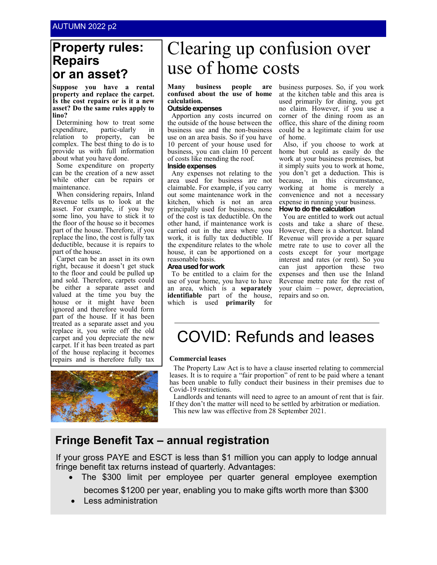## **Property rules: Repairs or an asset?**

**Suppose you have a rental property and replace the carpet. Is the cost repairs or is it a new asset? Do the same rules apply to lino?**

Determining how to treat some expenditure, partic-ularly in relation to property, can be complex. The best thing to do is to provide us with full information about what you have done.

Some expenditure on property can be the creation of a new asset while other can be repairs or maintenance.

When considering repairs, Inland Revenue tells us to look at the asset. For example, if you buy some lino, you have to stick it to the floor of the house so it becomes part of the house. Therefore, if you replace the lino, the cost is fully tax deductible, because it is repairs to part of the house.

Carpet can be an asset in its own right, because it doesn't get stuck to the floor and could be pulled up and sold. Therefore, carpets could be either a separate asset and valued at the time you buy the house or it might have been ignored and therefore would form part of the house. If it has been treated as a separate asset and you replace it, you write off the old carpet and you depreciate the new carpet. If it has been treated as part of the house replacing it becomes repairs and is therefore fully tax



## Clearing up confusion over use of home costs

### **Many business people are confused about the use of home calculation.**

#### **Outside expenses**

Apportion any costs incurred on the outside of the house between the business use and the non-business use on an area basis. So if you have 10 percent of your house used for business, you can claim 10 percent of costs like mending the roof. **Inside expenses**

### Any expenses not relating to the

area used for business are not claimable. For example, if you carry out some maintenance work in the kitchen, which is not an area principally used for business, none of the cost is tax deductible. On the other hand, if maintenance work is carried out in the area where you work, it is fully tax deductible. If the expenditure relates to the whole house, it can be apportioned on a reasonable basis.

#### **Area used for work**

To be entitled to a claim for the use of your home, you have to have an area, which is a **separately identifiable** part of the house, which is used **primarily** for

business purposes. So, if you work at the kitchen table and this area is used primarily for dining, you get no claim. However, if you use a corner of the dining room as an office, this share of the dining room could be a legitimate claim for use of home.

Also, if you choose to work at home but could as easily do the work at your business premises, but it simply suits you to work at home, you don't get a deduction. This is because, in this circumstance, working at home is merely a convenience and not a necessary expense in running your business.

### **How to do the calculation**

You are entitled to work out actual costs and take a share of these. However, there is a shortcut. Inland Revenue will provide a per square metre rate to use to cover all the costs except for your mortgage interest and rates (or rent). So you can just apportion these two expenses and then use the Inland Revenue metre rate for the rest of your claim – power, depreciation, repairs and so on.

## COVID: Refunds and leases

### **Commercial leases**

The Property Law Act is to have a clause inserted relating to commercial leases. It is to require a "fair proportion" of rent to be paid where a tenant has been unable to fully conduct their business in their premises due to Covid-19 restrictions.

Landlords and tenants will need to agree to an amount of rent that is fair. If they don't the matter will need to be settled by arbitration or mediation. This new law was effective from 28 September 2021.

## **Fringe Benefit Tax – annual registration**

If your gross PAYE and ESCT is less than \$1 million you can apply to lodge annual fringe benefit tax returns instead of quarterly. Advantages:

- The \$300 limit per employee per quarter general employee exemption becomes \$1200 per year, enabling you to make gifts worth more than \$300
- Less administration